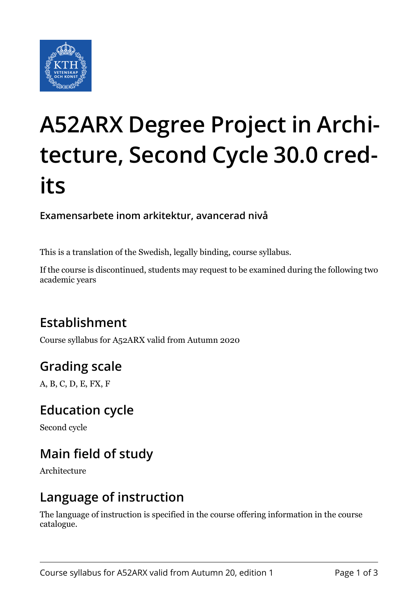

# **A52ARX Degree Project in Architecture, Second Cycle 30.0 credits**

#### **Examensarbete inom arkitektur, avancerad nivå**

This is a translation of the Swedish, legally binding, course syllabus.

If the course is discontinued, students may request to be examined during the following two academic years

# **Establishment**

Course syllabus for A52ARX valid from Autumn 2020

# **Grading scale**

A, B, C, D, E, FX, F

#### **Education cycle**

Second cycle

# **Main field of study**

Architecture

#### **Language of instruction**

The language of instruction is specified in the course offering information in the course catalogue.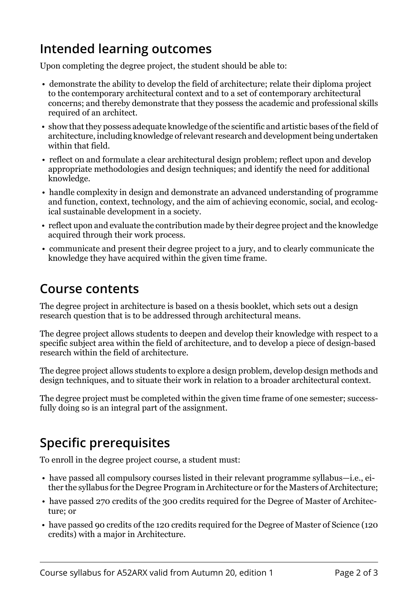### **Intended learning outcomes**

Upon completing the degree project, the student should be able to:

- demonstrate the ability to develop the field of architecture; relate their diploma project to the contemporary architectural context and to a set of contemporary architectural concerns; and thereby demonstrate that they possess the academic and professional skills required of an architect.
- show that they possess adequate knowledge of the scientific and artistic bases of the field of architecture, including knowledge of relevant research and development being undertaken within that field.
- reflect on and formulate a clear architectural design problem; reflect upon and develop appropriate methodologies and design techniques; and identify the need for additional knowledge.
- handle complexity in design and demonstrate an advanced understanding of programme and function, context, technology, and the aim of achieving economic, social, and ecological sustainable development in a society.
- reflect upon and evaluate the contribution made by their degree project and the knowledge acquired through their work process.
- communicate and present their degree project to a jury, and to clearly communicate the knowledge they have acquired within the given time frame.

#### **Course contents**

The degree project in architecture is based on a thesis booklet, which sets out a design research question that is to be addressed through architectural means.

The degree project allows students to deepen and develop their knowledge with respect to a specific subject area within the field of architecture, and to develop a piece of design-based research within the field of architecture.

The degree project allows students to explore a design problem, develop design methods and design techniques, and to situate their work in relation to a broader architectural context.

The degree project must be completed within the given time frame of one semester; successfully doing so is an integral part of the assignment.

# **Specific prerequisites**

To enroll in the degree project course, a student must:

- have passed all compulsory courses listed in their relevant programme syllabus—i.e., either the syllabus for the Degree Program in Architecture or for the Masters of Architecture;
- have passed 270 credits of the 300 credits required for the Degree of Master of Architecture; or
- have passed 90 credits of the 120 credits required for the Degree of Master of Science (120 credits) with a major in Architecture.